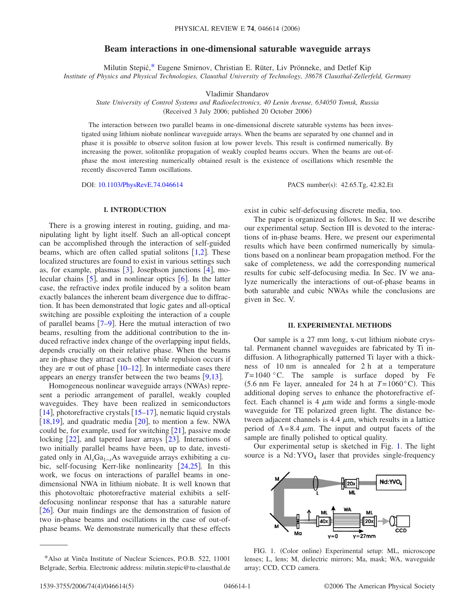# **Beam interactions in one-dimensional saturable waveguide arrays**

Milutin Stepić[,\\*](#page-0-0) Eugene Smirnov, Christian E. Rüter, Liv Prönneke, and Detlef Kip *Institute of Physics and Physical Technologies, Clausthal University of Technology, 38678 Clausthal-Zellerfeld, Germany*

Vladimir Shandarov

*State University of Control Systems and Radioelectronics, 40 Lenin Avenue, 634050 Tomsk, Russia* (Received 3 July 2006; published 20 October 2006)

The interaction between two parallel beams in one-dimensional discrete saturable systems has been investigated using lithium niobate nonlinear waveguide arrays. When the beams are separated by one channel and in phase it is possible to observe soliton fusion at low power levels. This result is confirmed numerically. By increasing the power, solitonlike propagation of weakly coupled beams occurs. When the beams are out-ofphase the most interesting numerically obtained result is the existence of oscillations which resemble the recently discovered Tamm oscillations.

DOI: [10.1103/PhysRevE.74.046614](http://dx.doi.org/10.1103/PhysRevE.74.046614)

PACS number(s): 42.65.Tg, 42.82.Et

### **I. INTRODUCTION**

There is a growing interest in routing, guiding, and manipulating light by light itself. Such an all-optical concept can be accomplished through the interaction of self-guided beams, which are often called spatial solitons  $[1,2]$  $[1,2]$  $[1,2]$  $[1,2]$ . These localized structures are found to exist in various settings such as, for example, plasmas  $\lceil 3 \rceil$  $\lceil 3 \rceil$  $\lceil 3 \rceil$ , Josephson junctions  $\lceil 4 \rceil$  $\lceil 4 \rceil$  $\lceil 4 \rceil$ , molecular chains  $\lceil 5 \rceil$  $\lceil 5 \rceil$  $\lceil 5 \rceil$ , and in nonlinear optics  $\lceil 6 \rceil$  $\lceil 6 \rceil$  $\lceil 6 \rceil$ . In the latter case, the refractive index profile induced by a soliton beam exactly balances the inherent beam divergence due to diffraction. It has been demonstrated that logic gates and all-optical switching are possible exploiting the interaction of a couple of parallel beams  $[7-9]$  $[7-9]$  $[7-9]$ . Here the mutual interaction of two beams, resulting from the additional contribution to the induced refractive index change of the overlapping input fields, depends crucially on their relative phase. When the beams are in-phase they attract each other while repulsion occurs if they are  $\pi$  out of phase [[10–](#page-4-8)[12](#page-4-9)]. In intermediate cases there appears an energy transfer between the two beams  $[9,13]$  $[9,13]$  $[9,13]$  $[9,13]$ .

Homogeneous nonlinear waveguide arrays (NWAs) represent a periodic arrangement of parallel, weakly coupled waveguides. They have been realized in semiconductors [[14](#page-4-11)], photorefractive crystals  $[15-17]$  $[15-17]$  $[15-17]$ , nematic liquid crystals [[18](#page-4-14)[,19](#page-4-15)], and quadratic media  $[20]$  $[20]$  $[20]$ , to mention a few. NWA could be, for example, used for switching  $[21]$  $[21]$  $[21]$ , passive mode locking  $[22]$  $[22]$  $[22]$ , and tapered laser arrays  $[23]$  $[23]$  $[23]$ . Interactions of two initially parallel beams have been, up to date, investigated only in  $AI_xGa_{1-x}As$  waveguide arrays exhibiting a cubic, self-focusing Kerr-like nonlinearity  $[24,25]$  $[24,25]$  $[24,25]$  $[24,25]$ . In this work, we focus on interactions of parallel beams in onedimensional NWA in lithium niobate. It is well known that this photovoltaic photorefractive material exhibits a selfdefocusing nonlinear response that has a saturable nature [[26](#page-4-22)]. Our main findings are the demonstration of fusion of two in-phase beams and oscillations in the case of out-ofphase beams. We demonstrate numerically that these effects exist in cubic self-defocusing discrete media, too.

The paper is organized as follows. In Sec. II we describe our experimental setup. Section III is devoted to the interactions of in-phase beams. Here, we present our experimental results which have been confirmed numerically by simulations based on a nonlinear beam propagation method. For the sake of completeness, we add the corresponding numerical results for cubic self-defocusing media. In Sec. IV we analyze numerically the interactions of out-of-phase beams in both saturable and cubic NWAs while the conclusions are given in Sec. V.

#### **II. EXPERIMENTAL METHODS**

Our sample is a 27 mm long, x-cut lithium niobate crystal. Permanent channel waveguides are fabricated by Ti indiffusion. A lithographically patterned Ti layer with a thickness of 10 nm is annealed for 2 h at a temperature  $T=1040$  °C. The sample is surface doped by Fe  $(5.6 \text{ nm}$  Fe layer, annealed for 24 h at  $T=1060^{\circ}$ C). This additional doping serves to enhance the photorefractive effect. Each channel is 4  $\mu$ m wide and forms a single-mode waveguide for TE polarized green light. The distance between adjacent channels is 4.4  $\mu$ m, which results in a lattice period of  $\Lambda$ =8.4  $\mu$ m. The input and output facets of the sample are finally polished to optical quality.

Our experimental setup is sketched in Fig. [1.](#page-0-1) The light source is a  $Nd: YVO<sub>4</sub>$  laser that provides single-frequency

<span id="page-0-1"></span>

FIG. 1. (Color online) Experimental setup: ML, microscope lenses; L, lens; M, dielectric mirrors; Ma, mask; WA, waveguide array; CCD, CCD camera.

<span id="page-0-0"></span><sup>\*</sup>Also at Vinča Institute of Nuclear Sciences, P.O.B. 522, 11001 Belgrade, Serbia. Electronic address: milutin.stepic@tu-clausthal.de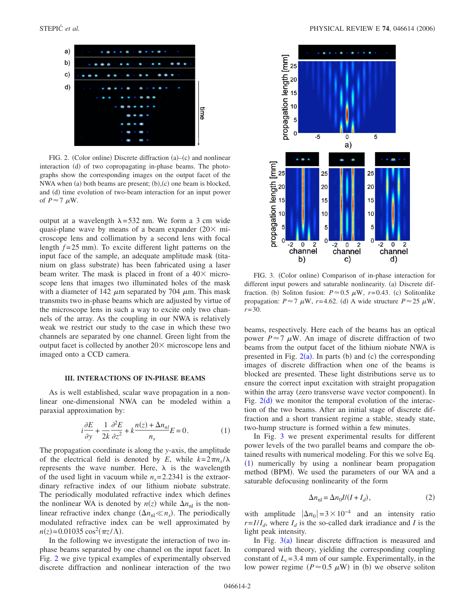<span id="page-1-0"></span>

FIG. 2. (Color online) Discrete diffraction (a)–(c) and nonlinear interaction (d) of two copropagating in-phase beams. The photographs show the corresponding images on the output facet of the NWA when (a) both beams are present; (b), (c) one beam is blocked, and (d) time evolution of two-beam interaction for an input power of  $P \approx 7 \mu W$ .

output at a wavelength  $\lambda$ =532 nm. We form a 3 cm wide quasi-plane wave by means of a beam expander  $(20 \times m)$ croscope lens and collimation by a second lens with focal length  $f = 25$  mm). To excite different light patterns on the input face of the sample, an adequate amplitude mask (titanium on glass substrate) has been fabricated using a laser beam writer. The mask is placed in front of a  $40\times$  microscope lens that images two illuminated holes of the mask with a diameter of 142  $\mu$ m separated by 704  $\mu$ m. This mask transmits two in-phase beams which are adjusted by virtue of the microscope lens in such a way to excite only two channels of the array. As the coupling in our NWA is relatively weak we restrict our study to the case in which these two channels are separated by one channel. Green light from the output facet is collected by another  $20 \times$  microscope lens and imaged onto a CCD camera.

### **III. INTERACTIONS OF IN-PHASE BEAMS**

As is well established, scalar wave propagation in a nonlinear one-dimensional NWA can be modeled within a paraxial approximation by:

$$
i\frac{\partial E}{\partial y} + \frac{1}{2k}\frac{\partial^2 E}{\partial z^2} + k\frac{n(z) + \Delta n_{nl}}{n_s}E = 0.
$$
 (1)

<span id="page-1-2"></span>The propagation coordinate is along the *y*-axis, the amplitude of the electrical field is denoted by *E*, while  $k=2\pi n_s/\lambda$ represents the wave number. Here,  $\lambda$  is the wavelength of the used light in vacuum while  $n_s = 2.2341$  is the extraordinary refractive index of our lithium niobate substrate. The periodically modulated refractive index which defines the nonlinear WA is denoted by  $n(z)$  while  $\Delta n_{nl}$  is the nonlinear refractive index change  $(\Delta n_{\text{nl}} \ll n_s)$ . The periodically modulated refractive index can be well approximated by  $n(z) = 0.01035 \cos^2(\pi z/\Lambda)$ .

In the following we investigate the interaction of two inphase beams separated by one channel on the input facet. In Fig. [2](#page-1-0) we give typical examples of experimentally observed discrete diffraction and nonlinear interaction of the two

<span id="page-1-1"></span>

FIG. 3. (Color online) Comparison of in-phase interaction for different input powers and saturable nonlinearity. (a) Discrete diffraction. (b) Soliton fusion:  $P \approx 0.5 \mu W$ ,  $r=0.43$ . (c) Solitonlike propagation:  $P \approx 7 \mu W$ ,  $r = 4.62$ . (d) A wide structure  $P \approx 25 \mu W$ , *r*=30.

beams, respectively. Here each of the beams has an optical power  $P \approx 7 \mu$ W. An image of discrete diffraction of two beams from the output facet of the lithium niobate NWA is presented in Fig.  $2(a)$  $2(a)$ . In parts (b) and (c) the corresponding images of discrete diffraction when one of the beams is blocked are presented. These light distributions serve us to ensure the correct input excitation with straight propagation within the array (zero transverse wave vector component). In Fig.  $2(d)$  $2(d)$  we monitor the temporal evolution of the interaction of the two beams. After an initial stage of discrete diffraction and a short transient regime a stable, steady state, two-hump structure is formed within a few minutes.

In Fig. [3](#page-1-1) we present experimental results for different power levels of the two parallel beams and compare the obtained results with numerical modeling. For this we solve Eq. ([1](#page-1-2)) numerically by using a nonlinear beam propagation method (BPM). We used the parameters of our WA and a saturable defocusing nonlinearity of the form

$$
\Delta n_{\rm nl} = \Delta n_0 I/(I + I_d),\tag{2}
$$

with amplitude  $|\Delta n_0| = 3 \times 10^{-4}$  and an intensity ratio  $r = I/I_d$ , where  $I_d$  is the so-called dark irradiance and *I* is the light peak intensity.

In Fig.  $3(a)$  $3(a)$  linear discrete diffraction is measured and compared with theory, yielding the corresponding coupling constant of  $L_c$ =3.4 mm of our sample. Experimentally, in the low power regime  $(P \approx 0.5 \mu W)$  in (b) we observe soliton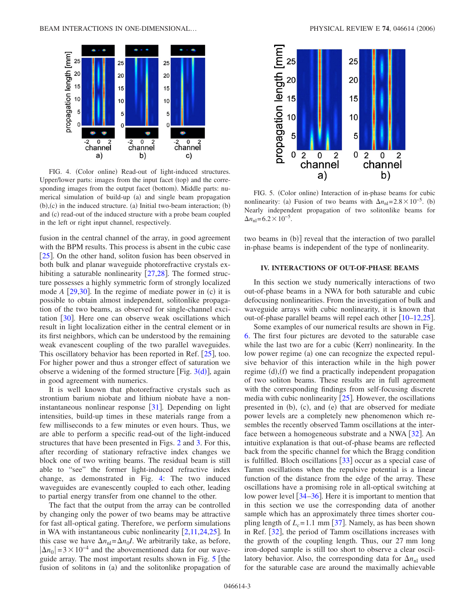<span id="page-2-0"></span>

FIG. 4. (Color online) Read-out of light-induced structures. Upper/lower parts: images from the input facet (top) and the corresponding images from the output facet (bottom). Middle parts: numerical simulation of build-up (a) and single beam propagation  $(b)$ , $(c)$  in the induced structure. (a) Initial two-beam interaction;  $(b)$ and (c) read-out of the induced structure with a probe beam coupled in the left or right input channel, respectively.

fusion in the central channel of the array, in good agreement with the BPM results. This process is absent in the cubic case  $[25]$  $[25]$  $[25]$ . On the other hand, soliton fusion has been observed in both bulk and planar waveguide photorefractive crystals exhibiting a saturable nonlinearity  $[27,28]$  $[27,28]$  $[27,28]$  $[27,28]$ . The formed structure possesses a highly symmetric form of strongly localized mode  $A$  [[29,](#page-4-25)[30](#page-4-26)]. In the regime of mediate power in  $(c)$  it is possible to obtain almost independent, solitonlike propagation of the two beams, as observed for single-channel excitation  $[30]$  $[30]$  $[30]$ . Here one can observe weak oscillations which result in light localization either in the central element or in its first neighbors, which can be understood by the remaining weak evanescent coupling of the two parallel waveguides. This oscillatory behavior has been reported in Ref.  $[25]$  $[25]$  $[25]$ , too. For higher power and thus a stronger effect of saturation we observe a wi[d](#page-1-1)ening of the formed structure [Fig.  $3(d)$ ], again in good agreement with numerics.

It is well known that photorefractive crystals such as strontium barium niobate and lithium niobate have a noninstantaneous nonlinear response  $|31|$  $|31|$  $|31|$ . Depending on light intensities, build-up times in these materials range from a few milliseconds to a few minutes or even hours. Thus, we are able to perform a specific read-out of the light-induced structures that have been presented in Figs. [2](#page-1-0) and [3.](#page-1-1) For this, after recording of stationary refractive index changes we block one of two writing beams. The residual beam is still able to "see" the former light-induced refractive index change, as demonstrated in Fig. [4:](#page-2-0) The two induced waveguides are evanescently coupled to each other, leading to partial energy transfer from one channel to the other.

The fact that the output from the array can be controlled by changing only the power of two beams may be attractive for fast all-optical gating. Therefore, we perform simulations in WA with instantaneous cubic nonlinearity  $[2,11,24,25]$  $[2,11,24,25]$  $[2,11,24,25]$  $[2,11,24,25]$  $[2,11,24,25]$  $[2,11,24,25]$ . In this case we have  $\Delta n_{\text{nl}} = \Delta n_0 I$ . We arbitrarily take, as before,  $|\Delta n_0|$  = 3 × 10<sup>-4</sup> and the abovementioned data for our waveguide array. The most important results shown in Fig.  $5$  [the fusion of solitons in (a) and the solitonlike propagation of

<span id="page-2-1"></span>

FIG. 5. (Color online) Interaction of in-phase beams for cubic nonlinearity: (a) Fusion of two beams with  $\Delta n_{\text{nl}} = 2.8 \times 10^{-5}$ . (b) Nearly independent propagation of two solitonlike beams for  $\Delta n_{\rm nl}$ =6.2 × 10<sup>-5</sup>.

two beams in (b)] reveal that the interaction of two parallel in-phase beams is independent of the type of nonlinearity.

### **IV. INTERACTIONS OF OUT-OF-PHASE BEAMS**

In this section we study numerically interactions of two out-of-phase beams in a NWA for both saturable and cubic defocusing nonlinearities. From the investigation of bulk and waveguide arrays with cubic nonlinearity, it is known that out-of-phase parallel beams will repel each other  $\lceil 10-12,25 \rceil$  $\lceil 10-12,25 \rceil$  $\lceil 10-12,25 \rceil$  $\lceil 10-12,25 \rceil$ .

Some examples of our numerical results are shown in Fig. [6.](#page-3-0) The first four pictures are devoted to the saturable case while the last two are for a cubic (Kerr) nonlinearity. In the low power regime (a) one can recognize the expected repulsive behavior of this interaction while in the high power regime (d), (f) we find a practically independent propagation of two soliton beams. These results are in full agreement with the corresponding findings from self-focusing discrete media with cubic nonlinearity  $[25]$  $[25]$  $[25]$ . However, the oscillations presented in (b), (c), and (e) that are observed for mediate power levels are a completely new phenomenon which resembles the recently observed Tamm oscillations at the interface between a homogeneous substrate and a NWA  $\lceil 32 \rceil$  $\lceil 32 \rceil$  $\lceil 32 \rceil$ . An intuitive explanation is that out-of-phase beams are reflected back from the specific channel for which the Bragg condition is fulfilled. Bloch oscillations  $\left[33\right]$  $\left[33\right]$  $\left[33\right]$  occur as a special case of Tamm oscillations when the repulsive potential is a linear function of the distance from the edge of the array. These oscillations have a promising role in all-optical switching at low power level  $\left[34-36\right]$  $\left[34-36\right]$  $\left[34-36\right]$ . Here it is important to mention that in this section we use the corresponding data of another sample which has an approximately three times shorter coupling length of  $L_c$ =1.1 mm [[37](#page-4-33)]. Namely, as has been shown in Ref.  $|32|$  $|32|$  $|32|$ , the period of Tamm oscillations increases with the growth of the coupling length. Thus, our 27 mm long iron-doped sample is still too short to observe a clear oscillatory behavior. Also, the corresponding data for  $\Delta n_{nl}$  used for the saturable case are around the maximally achievable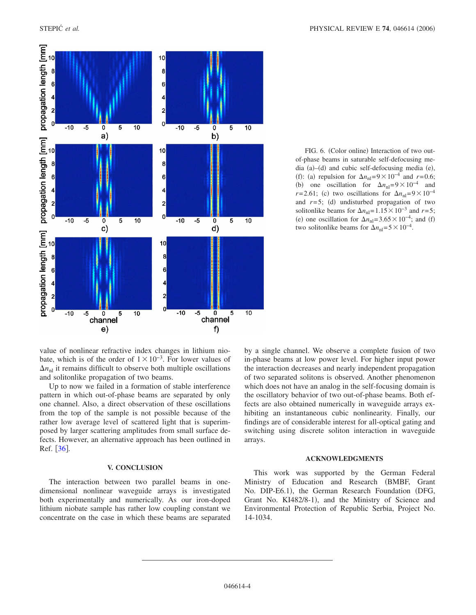<span id="page-3-0"></span>

FIG. 6. (Color online) Interaction of two outof-phase beams in saturable self-defocusing media (a)-(d) and cubic self-defocusing media (e), (f): (a) repulsion for  $\Delta n_{\text{nl}}=9\times10^{-4}$  and *r*=0.6; (b) one oscillation for  $\Delta n_{\text{nl}}=9\times10^{-4}$  and  $r=2.61$ ; (c) two oscillations for  $\Delta n_{\text{nl}}=9\times10^{-4}$ and  $r=5$ ; (d) undisturbed propagation of two solitonlike beams for  $\Delta n_{\text{nl}}=1.15\times10^{-3}$  and *r*=5; (e) one oscillation for  $\Delta n_{\text{nl}}$ =3.65 × 10<sup>-4</sup>; and (f) two solitonlike beams for  $\Delta n_{\text{nl}}=5\times10^{-4}$ .

value of nonlinear refractive index changes in lithium niobate, which is of the order of  $1 \times 10^{-3}$ . For lower values of  $\Delta n_{nl}$  it remains difficult to observe both multiple oscillations and solitonlike propagation of two beams.

Up to now we failed in a formation of stable interference pattern in which out-of-phase beams are separated by only one channel. Also, a direct observation of these oscillations from the top of the sample is not possible because of the rather low average level of scattered light that is superimposed by larger scattering amplitudes from small surface defects. However, an alternative approach has been outlined in Ref.  $\lfloor 36 \rfloor$  $\lfloor 36 \rfloor$  $\lfloor 36 \rfloor$ .

## **V. CONCLUSION**

The interaction between two parallel beams in onedimensional nonlinear waveguide arrays is investigated both experimentally and numerically. As our iron-doped lithium niobate sample has rather low coupling constant we concentrate on the case in which these beams are separated by a single channel. We observe a complete fusion of two in-phase beams at low power level. For higher input power the interaction decreases and nearly independent propagation of two separated solitons is observed. Another phenomenon which does not have an analog in the self-focusing domain is the oscillatory behavior of two out-of-phase beams. Both effects are also obtained numerically in waveguide arrays exhibiting an instantaneous cubic nonlinearity. Finally, our findings are of considerable interest for all-optical gating and switching using discrete soliton interaction in waveguide arrays.

#### **ACKNOWLEDGMENTS**

This work was supported by the German Federal Ministry of Education and Research (BMBF, Grant No. DIP-E6.1), the German Research Foundation (DFG, Grant No. KI482/8-1), and the Ministry of Science and Environmental Protection of Republic Serbia, Project No. 14-1034.